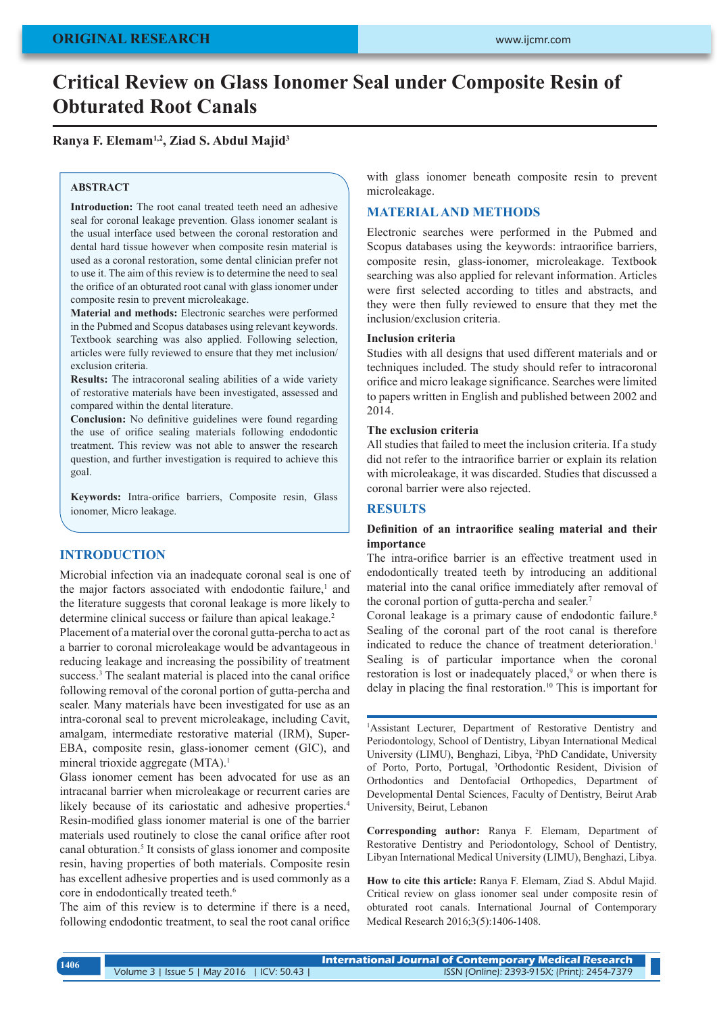# **Critical Review on Glass Ionomer Seal under Composite Resin of Obturated Root Canals**

## **Ranya F. Elemam1,2, Ziad S. Abdul Majid3**

#### **ABSTRACT**

**Introduction:** The root canal treated teeth need an adhesive seal for coronal leakage prevention. Glass ionomer sealant is the usual interface used between the coronal restoration and dental hard tissue however when composite resin material is used as a coronal restoration, some dental clinician prefer not to use it. The aim of this review is to determine the need to seal the orifice of an obturated root canal with glass ionomer under composite resin to prevent microleakage.

**Material and methods:** Electronic searches were performed in the Pubmed and Scopus databases using relevant keywords. Textbook searching was also applied. Following selection, articles were fully reviewed to ensure that they met inclusion/ exclusion criteria.

**Results:** The intracoronal sealing abilities of a wide variety of restorative materials have been investigated, assessed and compared within the dental literature.

**Conclusion:** No definitive guidelines were found regarding the use of orifice sealing materials following endodontic treatment. This review was not able to answer the research question, and further investigation is required to achieve this goal.

**Keywords:** Intra-orifice barriers, Composite resin, Glass ionomer, Micro leakage.

### **INTRODUCTION**

Microbial infection via an inadequate coronal seal is one of the major factors associated with endodontic failure,<sup>1</sup> and the literature suggests that coronal leakage is more likely to determine clinical success or failure than apical leakage.<sup>2</sup>

Placement of a material over the coronal gutta-percha to act as a barrier to coronal microleakage would be advantageous in reducing leakage and increasing the possibility of treatment success.<sup>3</sup> The sealant material is placed into the canal orifice following removal of the coronal portion of gutta-percha and sealer. Many materials have been investigated for use as an intra-coronal seal to prevent microleakage, including Cavit, amalgam, intermediate restorative material (IRM), Super-EBA, composite resin, glass-ionomer cement (GIC), and mineral trioxide aggregate (MTA).<sup>1</sup>

Glass ionomer cement has been advocated for use as an intracanal barrier when microleakage or recurrent caries are likely because of its cariostatic and adhesive properties.<sup>4</sup> Resin-modified glass ionomer material is one of the barrier materials used routinely to close the canal orifice after root canal obturation.<sup>5</sup> It consists of glass ionomer and composite resin, having properties of both materials. Composite resin has excellent adhesive properties and is used commonly as a core in endodontically treated teeth.<sup>6</sup>

The aim of this review is to determine if there is a need, following endodontic treatment, to seal the root canal orifice with glass ionomer beneath composite resin to prevent microleakage.

### **MATERIAL AND METHODS**

Electronic searches were performed in the Pubmed and Scopus databases using the keywords: intraorifice barriers, composite resin, glass-ionomer, microleakage. Textbook searching was also applied for relevant information. Articles were first selected according to titles and abstracts, and they were then fully reviewed to ensure that they met the inclusion/exclusion criteria.

#### **Inclusion criteria**

Studies with all designs that used different materials and or techniques included. The study should refer to intracoronal orifice and micro leakage significance. Searches were limited to papers written in English and published between 2002 and 2014.

## **The exclusion criteria**

All studies that failed to meet the inclusion criteria. If a study did not refer to the intraorifice barrier or explain its relation with microleakage, it was discarded. Studies that discussed a coronal barrier were also rejected.

### **RESULTS**

#### **Definition of an intraorifice sealing material and their importance**

The intra-orifice barrier is an effective treatment used in endodontically treated teeth by introducing an additional material into the canal orifice immediately after removal of the coronal portion of gutta-percha and sealer.<sup>7</sup>

Coronal leakage is a primary cause of endodontic failure.<sup>8</sup> Sealing of the coronal part of the root canal is therefore indicated to reduce the chance of treatment deterioration.<sup>1</sup> Sealing is of particular importance when the coronal restoration is lost or inadequately placed,<sup>9</sup> or when there is delay in placing the final restoration.10 This is important for

1 Assistant Lecturer, Department of Restorative Dentistry and Periodontology, School of Dentistry, Libyan International Medical University (LIMU), Benghazi, Libya, 2 PhD Candidate, University of Porto, Porto, Portugal, 3 Orthodontic Resident, Division of Orthodontics and Dentofacial Orthopedics, Department of Developmental Dental Sciences, Faculty of Dentistry, Beirut Arab University, Beirut, Lebanon

**Corresponding author:** Ranya F. Elemam, Department of Restorative Dentistry and Periodontology, School of Dentistry, Libyan International Medical University (LIMU), Benghazi, Libya.

**How to cite this article:** Ranya F. Elemam, Ziad S. Abdul Majid. Critical review on glass ionomer seal under composite resin of obturated root canals. International Journal of Contemporary Medical Research 2016;3(5):1406-1408.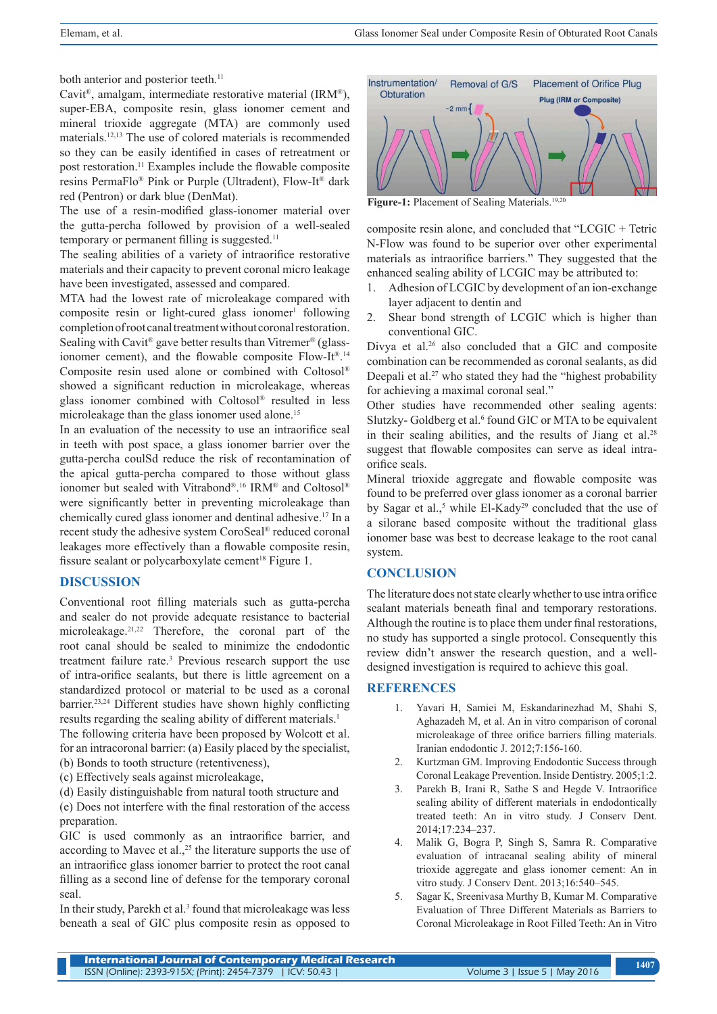both anterior and posterior teeth.<sup>11</sup>

Cavit®, amalgam, intermediate restorative material (IRM®), super-EBA, composite resin, glass ionomer cement and mineral trioxide aggregate (MTA) are commonly used materials.12,13 The use of colored materials is recommended so they can be easily identified in cases of retreatment or post restoration.11 Examples include the flowable composite resins PermaFlo® Pink or Purple (Ultradent), Flow-It® dark red (Pentron) or dark blue (DenMat).

The use of a resin-modified glass-ionomer material over the gutta-percha followed by provision of a well-sealed temporary or permanent filling is suggested.<sup>11</sup>

The sealing abilities of a variety of intraorifice restorative materials and their capacity to prevent coronal micro leakage have been investigated, assessed and compared.

MTA had the lowest rate of microleakage compared with  $composite$  resin or light-cured glass ionomer<sup>1</sup> following completion of root canal treatment without coronal restoration. Sealing with Cavit<sup>®</sup> gave better results than Vitremer<sup>®</sup> (glassionomer cement), and the flowable composite Flow-It<sup>® 14</sup> Composite resin used alone or combined with Coltosol® showed a significant reduction in microleakage, whereas glass ionomer combined with Coltosol® resulted in less microleakage than the glass ionomer used alone.<sup>15</sup>

In an evaluation of the necessity to use an intraorifice seal in teeth with post space, a glass ionomer barrier over the gutta-percha coulSd reduce the risk of recontamination of the apical gutta-percha compared to those without glass ionomer but sealed with Vitrabond®. 16 IRM® and Coltosol® were significantly better in preventing microleakage than chemically cured glass ionomer and dentinal adhesive.17 In a recent study the adhesive system CoroSeal® reduced coronal leakages more effectively than a flowable composite resin, fissure sealant or polycarboxylate cement<sup>18</sup> Figure 1.

## **DISCUSSION**

Conventional root filling materials such as gutta-percha and sealer do not provide adequate resistance to bacterial microleakage.21,22 Therefore, the coronal part of the root canal should be sealed to minimize the endodontic treatment failure rate.<sup>3</sup> Previous research support the use of intra-orifice sealants, but there is little agreement on a standardized protocol or material to be used as a coronal barrier.23,24 Different studies have shown highly conflicting results regarding the sealing ability of different materials.<sup>1</sup>

The following criteria have been proposed by Wolcott et al. for an intracoronal barrier: (a) Easily placed by the specialist, (b) Bonds to tooth structure (retentiveness),

- (c) Effectively seals against microleakage,
- (d) Easily distinguishable from natural tooth structure and

(e) Does not interfere with the final restoration of the access preparation.

GIC is used commonly as an intraorifice barrier, and according to Mavec et al., $25$  the literature supports the use of an intraorifice glass ionomer barrier to protect the root canal filling as a second line of defense for the temporary coronal seal.

In their study, Parekh et al.<sup>3</sup> found that microleakage was less beneath a seal of GIC plus composite resin as opposed to



Figure-1: Placement of Sealing Materials.<sup>19,20</sup>

composite resin alone, and concluded that "LCGIC + Tetric N-Flow was found to be superior over other experimental materials as intraorifice barriers." They suggested that the enhanced sealing ability of LCGIC may be attributed to:

- 1. Adhesion of LCGIC by development of an ion-exchange layer adjacent to dentin and
- 2. Shear bond strength of LCGIC which is higher than conventional GIC.

Divya et al.26 also concluded that a GIC and composite combination can be recommended as coronal sealants, as did Deepali et al.<sup>27</sup> who stated they had the "highest probability" for achieving a maximal coronal seal."

Other studies have recommended other sealing agents: Slutzky-Goldberg et al.<sup>6</sup> found GIC or MTA to be equivalent in their sealing abilities, and the results of Jiang et al.<sup>28</sup> suggest that flowable composites can serve as ideal intraorifice seals.

Mineral trioxide aggregate and flowable composite was found to be preferred over glass ionomer as a coronal barrier by Sagar et al.,<sup>5</sup> while El-Kady<sup>29</sup> concluded that the use of a silorane based composite without the traditional glass ionomer base was best to decrease leakage to the root canal system.

#### **CONCLUSION**

The literature does not state clearly whether to use intra orifice sealant materials beneath final and temporary restorations. Although the routine is to place them under final restorations, no study has supported a single protocol. Consequently this review didn't answer the research question, and a welldesigned investigation is required to achieve this goal.

#### **REFERENCES**

- 1. Yavari H, Samiei M, Eskandarinezhad M, Shahi S, Aghazadeh M, et al. An in vitro comparison of coronal microleakage of three orifice barriers filling materials. Iranian endodontic J. 2012;7:156-160.
- 2. Kurtzman GM. Improving Endodontic Success through Coronal Leakage Prevention. Inside Dentistry. 2005;1:2.
- 3. Parekh B, Irani R, Sathe S and Hegde V. Intraorifice sealing ability of different materials in endodontically treated teeth: An in vitro study. J Conserv Dent. 2014;17:234–237.
- 4. Malik G, Bogra P, Singh S, Samra R. Comparative evaluation of intracanal sealing ability of mineral trioxide aggregate and glass ionomer cement: An in vitro study. J Conserv Dent. 2013;16:540–545.
- 5. Sagar K, Sreenivasa Murthy B, Kumar M. Comparative Evaluation of Three Different Materials as Barriers to Coronal Microleakage in Root Filled Teeth: An in Vitro